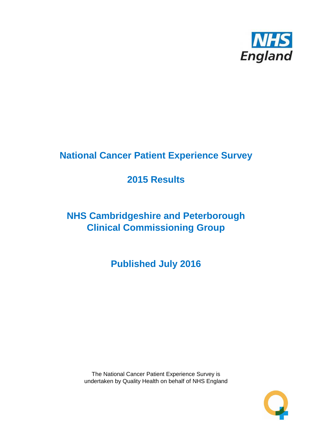

# **National Cancer Patient Experience Survey**

# **2015 Results**

# **NHS Cambridgeshire and Peterborough Clinical Commissioning Group**

**Published July 2016**

The National Cancer Patient Experience Survey is undertaken by Quality Health on behalf of NHS England

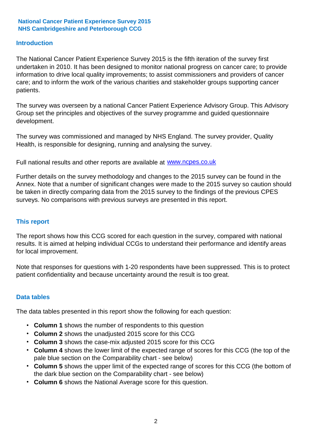#### **Introduction**

The National Cancer Patient Experience Survey 2015 is the fifth iteration of the survey first undertaken in 2010. It has been designed to monitor national progress on cancer care; to provide information to drive local quality improvements; to assist commissioners and providers of cancer care; and to inform the work of the various charities and stakeholder groups supporting cancer patients.

The survey was overseen by a national Cancer Patient Experience Advisory Group. This Advisory Group set the principles and objectives of the survey programme and guided questionnaire development.

The survey was commissioned and managed by NHS England. The survey provider, Quality Health, is responsible for designing, running and analysing the survey.

Full national results and other reports are available at www.ncpes.co.uk

Further details on the survey methodology and changes to the 2015 survey can be found in the Annex. Note that a number of significant changes were made to the 2015 survey so caution should be taken in directly comparing data from the 2015 survey to the findings of the previous CPES surveys. No comparisons with previous surveys are presented in this report.

#### **This report**

The report shows how this CCG scored for each question in the survey, compared with national results. It is aimed at helping individual CCGs to understand their performance and identify areas for local improvement.

Note that responses for questions with 1-20 respondents have been suppressed. This is to protect patient confidentiality and because uncertainty around the result is too great.

#### **Data tables**

The data tables presented in this report show the following for each question:

- **Column 1** shows the number of respondents to this question
- **Column 2** shows the unadjusted 2015 score for this CCG
- **Column 3** shows the case-mix adjusted 2015 score for this CCG
- **Column 4** shows the lower limit of the expected range of scores for this CCG (the top of the pale blue section on the Comparability chart - see below)
- **Column 5** shows the upper limit of the expected range of scores for this CCG (the bottom of the dark blue section on the Comparability chart - see below)
- **Column 6** shows the National Average score for this question.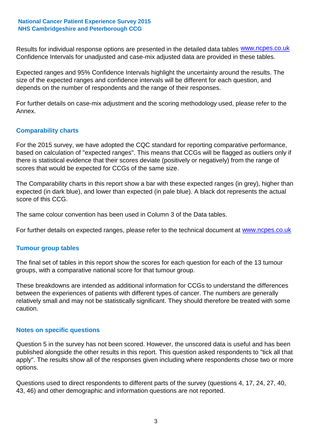Results for individual response options are presented in the detailed data tables **WWW.ncpes.co.uk** Confidence Intervals for unadjusted and case-mix adjusted data are provided in these tables.

Expected ranges and 95% Confidence Intervals highlight the uncertainty around the results. The size of the expected ranges and confidence intervals will be different for each question, and depends on the number of respondents and the range of their responses.

For further details on case-mix adjustment and the scoring methodology used, please refer to the Annex.

#### **Comparability charts**

For the 2015 survey, we have adopted the CQC standard for reporting comparative performance, based on calculation of "expected ranges". This means that CCGs will be flagged as outliers only if there is statistical evidence that their scores deviate (positively or negatively) from the range of scores that would be expected for CCGs of the same size.

The Comparability charts in this report show a bar with these expected ranges (in grey), higher than expected (in dark blue), and lower than expected (in pale blue). A black dot represents the actual score of this CCG.

The same colour convention has been used in Column 3 of the Data tables.

For further details on expected ranges, please refer to the technical document at **www.ncpes.co.uk** 

#### **Tumour group tables**

The final set of tables in this report show the scores for each question for each of the 13 tumour groups, with a comparative national score for that tumour group.

These breakdowns are intended as additional information for CCGs to understand the differences between the experiences of patients with different types of cancer. The numbers are generally relatively small and may not be statistically significant. They should therefore be treated with some caution.

#### **Notes on specific questions**

Question 5 in the survey has not been scored. However, the unscored data is useful and has been published alongside the other results in this report. This question asked respondents to "tick all that apply". The results show all of the responses given including where respondents chose two or more options.

Questions used to direct respondents to different parts of the survey (questions 4, 17, 24, 27, 40, 43, 46) and other demographic and information questions are not reported.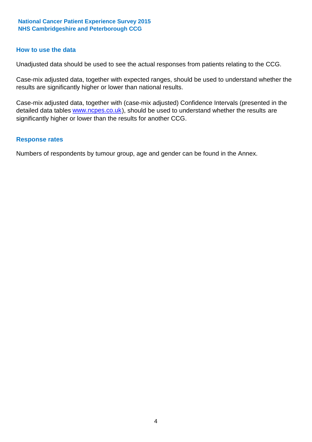#### **How to use the data**

Unadjusted data should be used to see the actual responses from patients relating to the CCG.

Case-mix adjusted data, together with expected ranges, should be used to understand whether the results are significantly higher or lower than national results.

Case-mix adjusted data, together with (case-mix adjusted) Confidence Intervals (presented in the detailed data tables **www.ncpes.co.uk**), should be used to understand whether the results are significantly higher or lower than the results for another CCG.

#### **Response rates**

Numbers of respondents by tumour group, age and gender can be found in the Annex.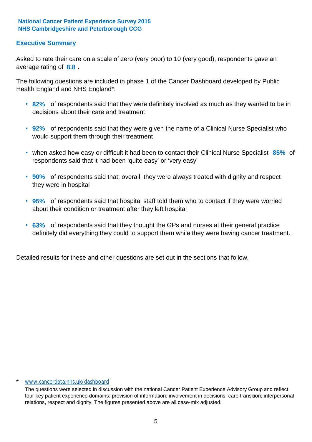## **Executive Summary**

average rating of **8.8**. Asked to rate their care on a scale of zero (very poor) to 10 (very good), respondents gave an

The following questions are included in phase 1 of the Cancer Dashboard developed by Public Health England and NHS England\*:

- **82%** of respondents said that they were definitely involved as much as they wanted to be in decisions about their care and treatment
- **92%** of respondents said that they were given the name of a Clinical Nurse Specialist who would support them through their treatment
- when asked how easy or difficult it had been to contact their Clinical Nurse Specialist 85% of respondents said that it had been 'quite easy' or 'very easy'
- **90%** of respondents said that, overall, they were always treated with dignity and respect they were in hospital
- **95%** of respondents said that hospital staff told them who to contact if they were worried about their condition or treatment after they left hospital
- **63%** of respondents said that they thought the GPs and nurses at their general practice definitely did everything they could to support them while they were having cancer treatment.

Detailed results for these and other questions are set out in the sections that follow.

#### www.cancerdata.nhs.uk/dashboard

The questions were selected in discussion with the national Cancer Patient Experience Advisory Group and reflect four key patient experience domains: provision of information; involvement in decisions; care transition; interpersonal relations, respect and dignity. The figures presented above are all case-mix adjusted.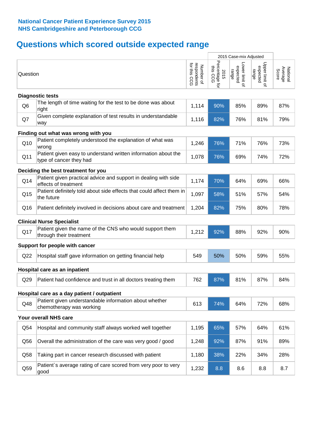# **Questions which scored outside expected range**

|                |                                                                                           |                                          |                                    | 2015 Case-mix Adjusted              |                                     |                              |
|----------------|-------------------------------------------------------------------------------------------|------------------------------------------|------------------------------------|-------------------------------------|-------------------------------------|------------------------------|
| Question       |                                                                                           | respondents<br>for this CCG<br>Number of | Percentage for<br>this CCG<br>2015 | Lower limit of<br>expected<br>range | Upper limit of<br>expected<br>range | Average<br>National<br>Score |
|                | <b>Diagnostic tests</b>                                                                   |                                          |                                    |                                     |                                     |                              |
| Q <sub>6</sub> | The length of time waiting for the test to be done was about<br>right                     | 1,114                                    | 90%                                | 85%                                 | 89%                                 | 87%                          |
| Q7             | Given complete explanation of test results in understandable<br>way                       | 1,116                                    | 82%                                | 76%                                 | 81%                                 | 79%                          |
|                | Finding out what was wrong with you                                                       |                                          |                                    |                                     |                                     |                              |
| Q10            | Patient completely understood the explanation of what was<br>wrong                        | 1,246                                    | 76%                                | 71%                                 | 76%                                 | 73%                          |
| Q11            | Patient given easy to understand written information about the<br>type of cancer they had | 1,078                                    | 76%                                | 69%                                 | 74%                                 | 72%                          |
|                | Deciding the best treatment for you                                                       |                                          |                                    |                                     |                                     |                              |
| Q14            | Patient given practical advice and support in dealing with side<br>effects of treatment   | 1,174                                    | 70%                                | 64%                                 | 69%                                 | 66%                          |
| Q15            | Patient definitely told about side effects that could affect them in<br>the future        | 1,097                                    | 58%                                | 51%                                 | 57%                                 | 54%                          |
| Q16            | Patient definitely involved in decisions about care and treatment                         | 1,204                                    | 82%                                | 75%                                 | 80%                                 | 78%                          |
|                | <b>Clinical Nurse Specialist</b>                                                          |                                          |                                    |                                     |                                     |                              |
| Q17            | Patient given the name of the CNS who would support them<br>through their treatment       | 1,212                                    | 92%                                | 88%                                 | 92%                                 | 90%                          |
|                | Support for people with cancer                                                            |                                          |                                    |                                     |                                     |                              |
| Q22            | Hospital staff gave information on getting financial help                                 | 549                                      | 50%                                | 50%                                 | 59%                                 | 55%                          |
|                | Hospital care as an inpatient                                                             |                                          |                                    |                                     |                                     |                              |
| Q29            | Patient had confidence and trust in all doctors treating them                             | 762                                      | 87%                                | 81%                                 | 87%                                 | 84%                          |
|                | Hospital care as a day patient / outpatient                                               |                                          |                                    |                                     |                                     |                              |
| Q48            | Patient given understandable information about whether<br>chemotherapy was working        | 613                                      | 74%                                | 64%                                 | 72%                                 | 68%                          |
|                | Your overall NHS care                                                                     |                                          |                                    |                                     |                                     |                              |
| Q54            | Hospital and community staff always worked well together                                  | 1,195                                    | 65%                                | 57%                                 | 64%                                 | 61%                          |
| Q56            | Overall the administration of the care was very good / good                               | 1,248                                    | 92%                                | 87%                                 | 91%                                 | 89%                          |
| Q58            | Taking part in cancer research discussed with patient                                     | 1,180                                    | 38%                                | 22%                                 | 34%                                 | 28%                          |
| Q59            | Patient's average rating of care scored from very poor to very<br>good                    | 1,232                                    | 8.8                                | 8.6                                 | 8.8                                 | 8.7                          |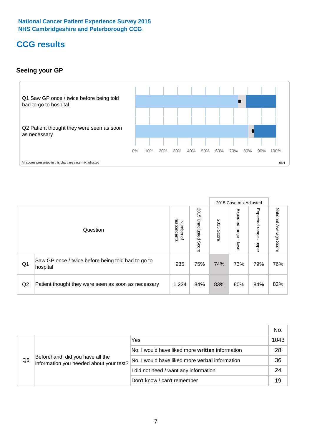## **CCG results**

## **Seeing your GP**



|    |                                                                |                                                     |                             |               | 2015 Case-mix Adjusted     |                            |                           |
|----|----------------------------------------------------------------|-----------------------------------------------------|-----------------------------|---------------|----------------------------|----------------------------|---------------------------|
|    | Question                                                       | respondents<br><b>Number</b><br>$\overline{\sigma}$ | 2015<br>Unadjusted<br>Score | 2015<br>Score | Expected<br>range<br>lower | Expected<br>range<br>nbber | National Average<br>Score |
| Q1 | Saw GP once / twice before being told had to go to<br>hospital | 935                                                 | 75%                         | 74%           | 73%                        | 79%                        | 76%                       |
| Q2 | Patient thought they were seen as soon as necessary            | 1,234                                               | 84%                         | 83%           | 80%                        | 84%                        | 82%                       |

|    |                                                                             |                                                 | No.  |
|----|-----------------------------------------------------------------------------|-------------------------------------------------|------|
|    | Beforehand, did you have all the<br>information you needed about your test? | Yes                                             | 1043 |
|    |                                                                             | No, I would have liked more written information | 28   |
| Q5 |                                                                             | No, I would have liked more verbal information  | 36   |
|    |                                                                             | I did not need / want any information           | 24   |
|    |                                                                             | Don't know / can't remember                     | 19   |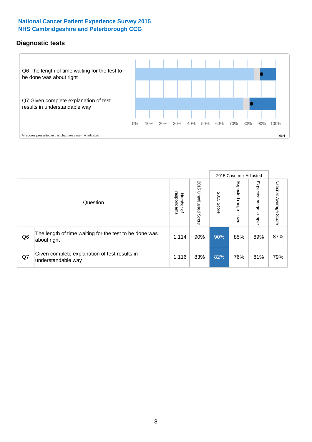## **Diagnostic tests**



|                |                                                                       |                                              |                             |               | 2015 Case-mix Adjusted  |                         |                           |
|----------------|-----------------------------------------------------------------------|----------------------------------------------|-----------------------------|---------------|-------------------------|-------------------------|---------------------------|
|                | Question                                                              | respondents<br>Number<br>$\overline{\sigma}$ | 2015<br>Unadjusted<br>Score | 2015<br>Score | Expected range<br>lower | Expected range<br>nbber | National Average<br>Score |
| Q <sub>6</sub> | The length of time waiting for the test to be done was<br>about right | 1,114                                        | 90%                         | 90%           | 85%                     | 89%                     | 87%                       |
| Q7             | Given complete explanation of test results in<br>understandable way   | 1,116                                        | 83%                         | 82%           | 76%                     | 81%                     | 79%                       |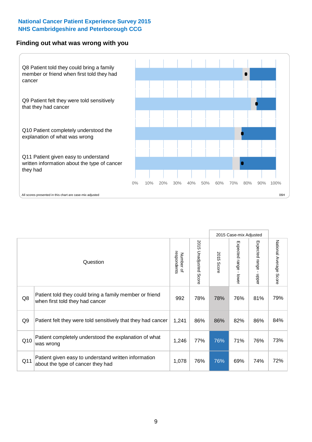#### **Finding out what was wrong with you**



|                |                                                                                            |                          |                             |                      | 2015 Case-mix Adjusted                    |                           |                        |
|----------------|--------------------------------------------------------------------------------------------|--------------------------|-----------------------------|----------------------|-------------------------------------------|---------------------------|------------------------|
|                | Question                                                                                   | respondents<br>Number of | 2015<br>Unadjusted<br>Score | 2015<br><b>Score</b> | Expected range<br>$\blacksquare$<br>lower | Expected range<br>- nbber | National Average Score |
| Q8             | Patient told they could bring a family member or friend<br>when first told they had cancer | 992                      | 78%                         | 78%                  | 76%                                       | 81%                       | 79%                    |
| Q <sub>9</sub> | Patient felt they were told sensitively that they had cancer                               | 1,241                    | 86%                         | 86%                  | 82%                                       | 86%                       | 84%                    |
| Q10            | Patient completely understood the explanation of what<br>was wrong                         | 1,246                    | 77%                         | 76%                  | 71%                                       | 76%                       | 73%                    |
| Q11            | Patient given easy to understand written information<br>about the type of cancer they had  | 1,078                    | 76%                         | 76%                  | 69%                                       | 74%                       | 72%                    |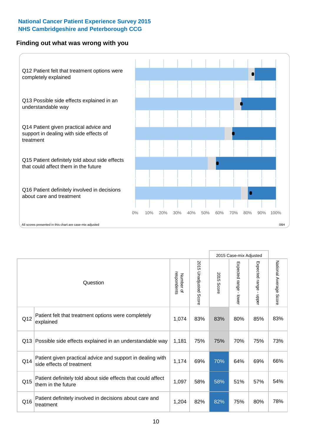### **Finding out what was wrong with you**



|          |                                                                                         |                          |                       |               | 2015 Case-mix Adjusted                  |                        |                        |
|----------|-----------------------------------------------------------------------------------------|--------------------------|-----------------------|---------------|-----------------------------------------|------------------------|------------------------|
| Question |                                                                                         | respondents<br>Number of | 2015 Unadjusted Score | 2015<br>Score | Expected range<br>$\mathbf{I}$<br>lower | Expected range - upper | National Average Score |
| Q12      | Patient felt that treatment options were completely<br>explained                        | 1,074                    | 83%                   | 83%           | 80%                                     | 85%                    | 83%                    |
| Q13      | Possible side effects explained in an understandable way                                | 1,181                    | 75%                   | 75%           | 70%                                     | 75%                    | 73%                    |
| Q14      | Patient given practical advice and support in dealing with<br>side effects of treatment | 1,174                    | 69%                   | 70%           | 64%                                     | 69%                    | 66%                    |
| Q15      | Patient definitely told about side effects that could affect<br>them in the future      | 1,097                    | 58%                   | 58%           | 51%                                     | 57%                    | 54%                    |
| Q16      | Patient definitely involved in decisions about care and<br>treatment                    | 1,204                    | 82%                   | 82%           | 75%                                     | 80%                    | 78%                    |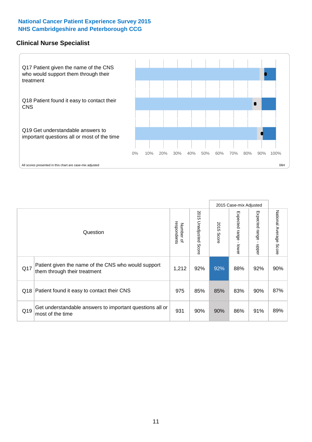### **Clinical Nurse Specialist**



|     |                                                                                     |                          |                       |               | 2015 Case-mix Adjusted  |                         |                        |
|-----|-------------------------------------------------------------------------------------|--------------------------|-----------------------|---------------|-------------------------|-------------------------|------------------------|
|     | Question                                                                            | respondents<br>Number of | 2015 Unadjusted Score | 2015<br>Score | Expected range<br>lower | Expected range<br>nbber | National Average Score |
| Q17 | Patient given the name of the CNS who would support<br>them through their treatment | 1,212                    | 92%                   | 92%           | 88%                     | 92%                     | 90%                    |
|     | Q18 Patient found it easy to contact their CNS                                      | 975                      | 85%                   | 85%           | 83%                     | 90%                     | 87%                    |
| Q19 | Get understandable answers to important questions all or<br>most of the time        | 931                      | 90%                   | 90%           | 86%                     | 91%                     | 89%                    |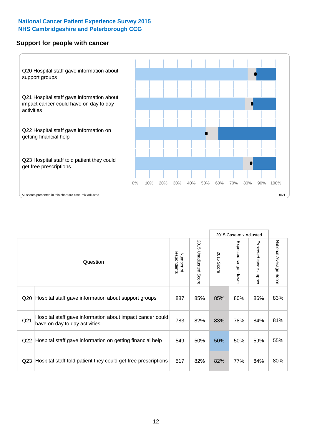#### **Support for people with cancer**



|                 | Question                                                                                   | respondents<br>Number of | 2015<br>Unadjusted Score | 2015<br>Score | 2015 Case-mix Adjusted<br>Expected range<br>- lower | Expected range<br>$\mathbf{r}$<br>nbber | National Average Score |
|-----------------|--------------------------------------------------------------------------------------------|--------------------------|--------------------------|---------------|-----------------------------------------------------|-----------------------------------------|------------------------|
| Q20             | Hospital staff gave information about support groups                                       | 887                      | 85%                      | 85%           | 80%                                                 | 86%                                     | 83%                    |
| Q <sub>21</sub> | Hospital staff gave information about impact cancer could<br>have on day to day activities | 783                      | 82%                      | 83%           | 78%                                                 | 84%                                     | 81%                    |
| Q22             | Hospital staff gave information on getting financial help                                  | 549                      | 50%                      | 50%           | 50%                                                 | 59%                                     | 55%                    |
| Q <sub>23</sub> | Hospital staff told patient they could get free prescriptions                              | 517                      | 82%                      | 82%           | 77%                                                 | 84%                                     | 80%                    |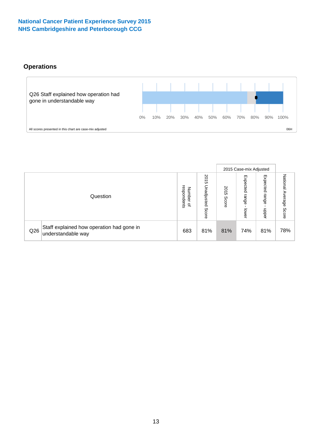## **Operations**



|     |                                                                 |                                              |                             |               | 2015 Case-mix Adjusted     |                           |                              |
|-----|-----------------------------------------------------------------|----------------------------------------------|-----------------------------|---------------|----------------------------|---------------------------|------------------------------|
|     | Question                                                        | respondents<br>Number<br>$\overline{\sigma}$ | 2015<br>Unadjusted<br>Score | 2015<br>Score | Expected<br>range<br>lower | Expected<br>range<br>dddn | National<br>Average<br>Score |
| Q26 | Staff explained how operation had gone in<br>understandable way | 683                                          | 81%                         | 81%           | 74%                        | 81%                       | 78%                          |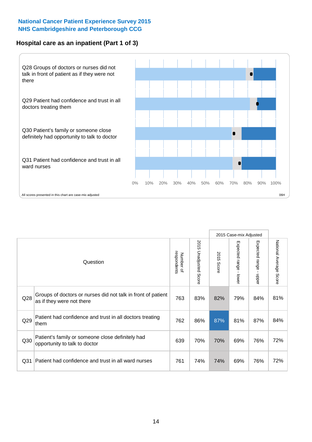## **Hospital care as an inpatient (Part 1 of 3)**



All scores presented in this chart are case-mix adjusted  $06H$ 

|                 |                                                                                           |                          |                                 |                      | 2015 Case-mix Adjusted                    |                                         |                        |
|-----------------|-------------------------------------------------------------------------------------------|--------------------------|---------------------------------|----------------------|-------------------------------------------|-----------------------------------------|------------------------|
|                 | Question                                                                                  | respondents<br>Number of | 2015<br><b>Unadjusted Score</b> | 2015<br><b>Score</b> | Expected range<br>$\blacksquare$<br>lower | Expected range<br>$\mathbf{I}$<br>nbber | National Average Score |
| Q28             | Groups of doctors or nurses did not talk in front of patient<br>as if they were not there | 763                      | 83%                             | 82%                  | 79%                                       | 84%                                     | 81%                    |
| Q29             | Patient had confidence and trust in all doctors treating<br>them                          | 762                      | 86%                             | 87%                  | 81%                                       | 87%                                     | 84%                    |
| Q30             | Patient's family or someone close definitely had<br>opportunity to talk to doctor         | 639                      | 70%                             | 70%                  | 69%                                       | 76%                                     | 72%                    |
| Q <sub>31</sub> | Patient had confidence and trust in all ward nurses                                       | 761                      | 74%                             | 74%                  | 69%                                       | 76%                                     | 72%                    |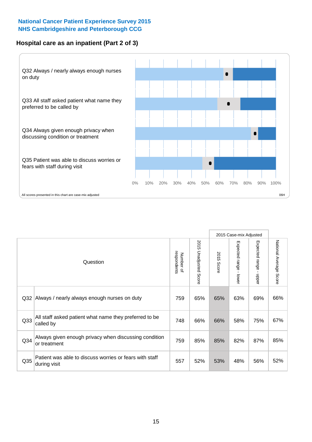## **Hospital care as an inpatient (Part 2 of 3)**



|                 |                                                                         |                          |                                 |               | 2015 Case-mix Adjusted |                        |                           |
|-----------------|-------------------------------------------------------------------------|--------------------------|---------------------------------|---------------|------------------------|------------------------|---------------------------|
|                 | Question                                                                | respondents<br>Number of | 2015<br><b>Unadjusted Score</b> | 2015<br>Score | Expected range - lower | Expected range - upper | National Average<br>Score |
| Q <sub>32</sub> | Always / nearly always enough nurses on duty                            | 759                      | 65%                             | 65%           | 63%                    | 69%                    | 66%                       |
| Q33             | All staff asked patient what name they preferred to be<br>called by     | 748                      | 66%                             | 66%           | 58%                    | 75%                    | 67%                       |
| Q <sub>34</sub> | Always given enough privacy when discussing condition<br>or treatment   | 759                      | 85%                             | 85%           | 82%                    | 87%                    | 85%                       |
| Q35             | Patient was able to discuss worries or fears with staff<br>during visit | 557                      | 52%                             | 53%           | 48%                    | 56%                    | 52%                       |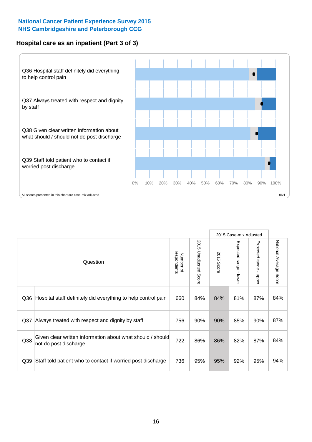## **Hospital care as an inpatient (Part 3 of 3)**



|     |                                                                                     |                          |                                 |               | 2015 Case-mix Adjusted  |                                           |                        |
|-----|-------------------------------------------------------------------------------------|--------------------------|---------------------------------|---------------|-------------------------|-------------------------------------------|------------------------|
|     | Question                                                                            | respondents<br>Number of | 2015<br><b>Unadjusted Score</b> | 2015<br>Score | Expected range<br>lower | Expected range<br>$\blacksquare$<br>nbber | National Average Score |
| Q36 | Hospital staff definitely did everything to help control pain                       | 660                      | 84%                             | 84%           | 81%                     | 87%                                       | 84%                    |
| Q37 | Always treated with respect and dignity by staff                                    | 756                      | 90%                             | 90%           | 85%                     | 90%                                       | 87%                    |
| Q38 | Given clear written information about what should / should<br>not do post discharge | 722                      | 86%                             | 86%           | 82%                     | 87%                                       | 84%                    |
| Q39 | Staff told patient who to contact if worried post discharge                         | 736                      | 95%                             | 95%           | 92%                     | 95%                                       | 94%                    |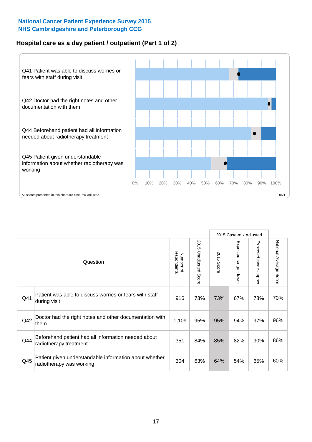## **Hospital care as a day patient / outpatient (Part 1 of 2)**



|     |                                                                                    |                          |                                 | 2015 Case-mix Adjusted |                                           |                                         |                        |
|-----|------------------------------------------------------------------------------------|--------------------------|---------------------------------|------------------------|-------------------------------------------|-----------------------------------------|------------------------|
|     | Question                                                                           | respondents<br>Number of | 2015<br><b>Unadjusted Score</b> | 2015<br><b>Score</b>   | Expected range<br>$\blacksquare$<br>lower | Expected range<br>$\mathbf{I}$<br>nbber | National Average Score |
| Q41 | Patient was able to discuss worries or fears with staff<br>during visit            | 916                      | 73%                             | 73%                    | 67%                                       | 73%                                     | 70%                    |
| Q42 | Doctor had the right notes and other documentation with<br>them                    | 1,109                    | 95%                             | 95%                    | 94%                                       | 97%                                     | 96%                    |
| Q44 | Beforehand patient had all information needed about<br>radiotherapy treatment      | 351                      | 84%                             | 85%                    | 82%                                       | 90%                                     | 86%                    |
| Q45 | Patient given understandable information about whether<br>radiotherapy was working | 304                      | 63%                             | 64%                    | 54%                                       | 65%                                     | 60%                    |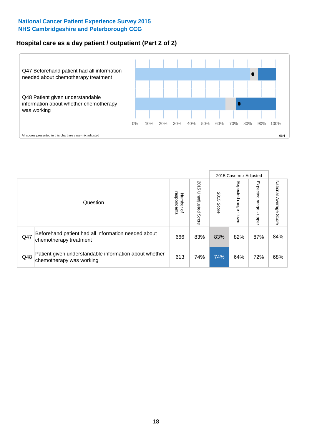## **Hospital care as a day patient / outpatient (Part 2 of 2)**



|     |                                                                                    |                                       |                             | 2015 Case-mix Adjusted |                             |                         |                           |
|-----|------------------------------------------------------------------------------------|---------------------------------------|-----------------------------|------------------------|-----------------------------|-------------------------|---------------------------|
|     | Question                                                                           | respondents<br>Number<br>$\mathbf{Q}$ | 2015<br>Unadjusted<br>Score | 2015<br>Score          | Expected<br>Irange<br>lower | Expected range<br>doper | National Average<br>Score |
| Q47 | Beforehand patient had all information needed about<br>chemotherapy treatment      | 666                                   | 83%                         | 83%                    | 82%                         | 87%                     | 84%                       |
| Q48 | Patient given understandable information about whether<br>chemotherapy was working | 613                                   | 74%                         | 74%                    | 64%                         | 72%                     | 68%                       |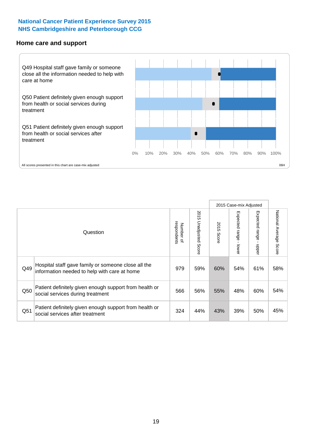#### **Home care and support**



|     |                                                                                                     |                          |                          |               | 2015 Case-mix Adjusted       |                         |                        |
|-----|-----------------------------------------------------------------------------------------------------|--------------------------|--------------------------|---------------|------------------------------|-------------------------|------------------------|
|     | Question                                                                                            | respondents<br>Number of | 2015 Unadjusted<br>Score | 2015<br>Score | Expected<br>I range<br>lower | Expected range<br>nbber | National Average Score |
| Q49 | Hospital staff gave family or someone close all the<br>information needed to help with care at home | 979                      | 59%                      | 60%           | 54%                          | 61%                     | 58%                    |
| Q50 | Patient definitely given enough support from health or<br>social services during treatment          | 566                      | 56%                      | 55%           | 48%                          | 60%                     | 54%                    |
| Q51 | Patient definitely given enough support from health or<br>social services after treatment           | 324                      | 44%                      | 43%           | 39%                          | 50%                     | 45%                    |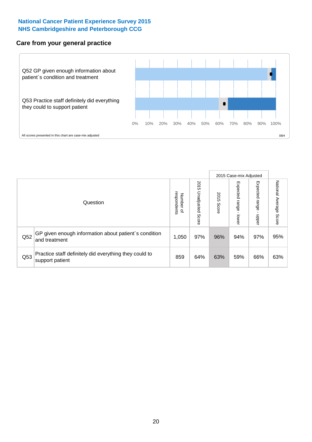#### **Care from your general practice**



|     |                                                                           |                                       |                             | 2015 Case-mix Adjusted |                         |                         |                           |
|-----|---------------------------------------------------------------------------|---------------------------------------|-----------------------------|------------------------|-------------------------|-------------------------|---------------------------|
|     | Question                                                                  | respondents<br>Number<br>$\mathbf{Q}$ | 2015<br>Unadjusted<br>Score | 2015<br>Score          | Expected range<br>lower | Expected range<br>doper | National Average<br>Score |
| Q52 | GP given enough information about patient's condition<br>and treatment    | 1,050                                 | 97%                         | 96%                    | 94%                     | 97%                     | 95%                       |
| Q53 | Practice staff definitely did everything they could to<br>support patient | 859                                   | 64%                         | 63%                    | 59%                     | 66%                     | 63%                       |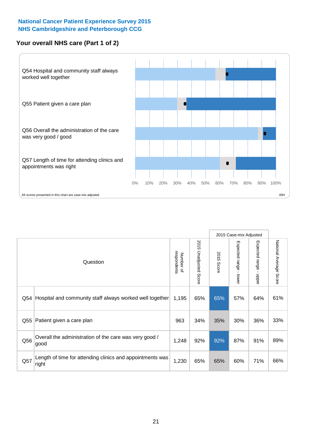## **Your overall NHS care (Part 1 of 2)**



|     |                                                                    |                          |                                 | 2015 Case-mix Adjusted |                         |                                           |                        |
|-----|--------------------------------------------------------------------|--------------------------|---------------------------------|------------------------|-------------------------|-------------------------------------------|------------------------|
|     | Question                                                           | respondents<br>Number of | 2015<br><b>Unadjusted Score</b> | 2015<br><b>Score</b>   | Expected range<br>lower | Expected range<br>$\blacksquare$<br>nbber | National Average Score |
| Q54 | Hospital and community staff always worked well together           | 1,195                    | 65%                             | 65%                    | 57%                     | 64%                                       | 61%                    |
| Q55 | Patient given a care plan                                          | 963                      | 34%                             | 35%                    | 30%                     | 36%                                       | 33%                    |
| Q56 | Overall the administration of the care was very good /<br>good     | 1,248                    | 92%                             | 92%                    | 87%                     | 91%                                       | 89%                    |
| Q57 | Length of time for attending clinics and appointments was<br>right | 1,230                    | 65%                             | 65%                    | 60%                     | 71%                                       | 66%                    |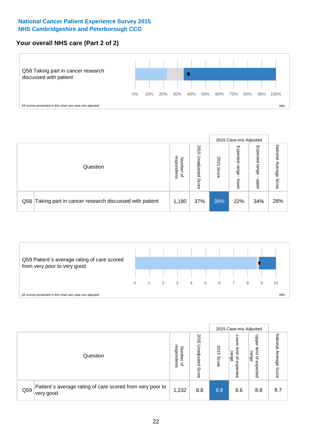## **Your overall NHS care (Part 2 of 2)**



|     |                                                       |                                         |                             | 2015 Case-mix Adjusted |                            |                            |                        |
|-----|-------------------------------------------------------|-----------------------------------------|-----------------------------|------------------------|----------------------------|----------------------------|------------------------|
|     | Question                                              | respondents<br>Number<br>$\overline{a}$ | 2015<br>Jnadjusted<br>Score | 2015<br>Score          | Expected<br>range<br>lower | Expected<br>range<br>dpper | National Average Score |
| Q58 | Taking part in cancer research discussed with patient | 1,180                                   | 37%                         | 38%                    | 22%                        | 34%                        | 28%                    |



|     |                                                                        |                                              |                             | 2015 Case-mix Adjusted |                                                    |                                                       |                              |
|-----|------------------------------------------------------------------------|----------------------------------------------|-----------------------------|------------------------|----------------------------------------------------|-------------------------------------------------------|------------------------------|
|     | Question                                                               | respondents<br>Number<br>$\overline{\sigma}$ | 2015<br>Unadjusted<br>Score | 2015<br>Score          | OWer<br>limit<br>range<br>$\mathsf{a}$<br>expected | Upper<br>limit<br>range<br>$\overline{a}$<br>expected | National<br>Average<br>Score |
| Q59 | Patient's average rating of care scored from very poor to<br>very good | 1,232                                        | 8.8                         | 8.8                    | 8.6                                                | 8.8                                                   | 8.7                          |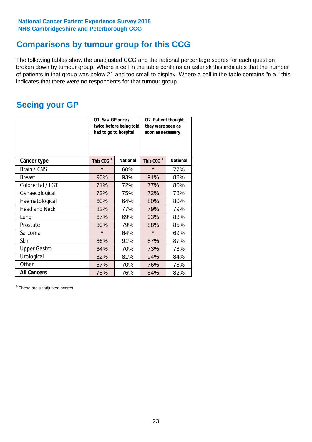## **Comparisons by tumour group for this CCG**

The following tables show the unadjusted CCG and the national percentage scores for each question broken down by tumour group. Where a cell in the table contains an asterisk this indicates that the number of patients in that group was below 21 and too small to display. Where a cell in the table contains "n.a." this indicates that there were no respondents for that tumour group.

## **Seeing your GP**

|                      | Q1. Saw GP once /<br>had to go to hospital | twice before being told | Q2. Patient thought<br>they were seen as<br>soon as necessary |                 |  |
|----------------------|--------------------------------------------|-------------------------|---------------------------------------------------------------|-----------------|--|
| <b>Cancer type</b>   | This CCG <sup>\$</sup>                     | <b>National</b>         | This CCG <sup>\$</sup>                                        | <b>National</b> |  |
| Brain / CNS          | $\star$                                    | 60%                     | $\star$                                                       | 77%             |  |
| <b>Breast</b>        | 96%                                        | 93%                     | 91%                                                           | 88%             |  |
| Colorectal / LGT     | 71%                                        | 72%                     | 77%                                                           | 80%             |  |
| Gynaecological       | 72%                                        | 75%                     | 72%                                                           | 78%             |  |
| Haematological       | 60%                                        | 64%                     | 80%                                                           | 80%             |  |
| <b>Head and Neck</b> | 82%                                        | 77%                     | 79%                                                           | 79%             |  |
| Lung                 | 67%                                        | 69%                     | 93%                                                           | 83%             |  |
| Prostate             | 80%                                        | 79%                     | 88%                                                           | 85%             |  |
| Sarcoma              | $\star$                                    | 64%                     | $\star$                                                       | 69%             |  |
| <b>Skin</b>          | 86%                                        | 91%                     | 87%                                                           | 87%             |  |
| <b>Upper Gastro</b>  | 64%                                        | 70%                     | 73%                                                           | 78%             |  |
| Urological           | 82%                                        | 81%                     | 94%                                                           | 84%             |  |
| Other                | 67%                                        | 70%                     | 76%                                                           | 78%             |  |
| <b>All Cancers</b>   | 75%                                        | 76%                     | 84%                                                           | 82%             |  |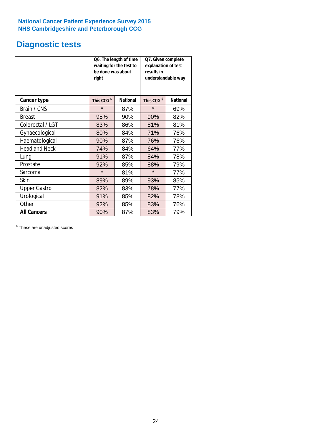# **Diagnostic tests**

|                      | be done was about<br>right | Q6. The length of time<br>waiting for the test to | Q7. Given complete<br>explanation of test<br>results in<br>understandable way |                 |  |
|----------------------|----------------------------|---------------------------------------------------|-------------------------------------------------------------------------------|-----------------|--|
| <b>Cancer type</b>   | This CCG <sup>\$</sup>     | <b>National</b>                                   | This CCG <sup>\$</sup>                                                        | <b>National</b> |  |
| Brain / CNS          | $\star$                    | 87%                                               | $\star$                                                                       | 69%             |  |
| <b>Breast</b>        | 95%                        | 90%                                               | 90%                                                                           | 82%             |  |
| Colorectal / LGT     | 83%                        | 86%                                               | 81%                                                                           | 81%             |  |
| Gynaecological       | 80%                        | 84%                                               | 71%                                                                           | 76%             |  |
| Haematological       | 90%                        | 87%                                               | 76%                                                                           | 76%             |  |
| <b>Head and Neck</b> | 74%                        | 84%                                               | 64%                                                                           | 77%             |  |
| Lung                 | 91%                        | 87%                                               | 84%                                                                           | 78%             |  |
| Prostate             | 92%                        | 85%                                               | 88%                                                                           | 79%             |  |
| Sarcoma              | $\star$                    | 81%                                               | $\star$                                                                       | 77%             |  |
| Skin                 | 89%                        | 89%                                               | 93%                                                                           | 85%             |  |
| <b>Upper Gastro</b>  | 82%                        | 83%                                               | 78%                                                                           | 77%             |  |
| Urological           | 91%                        | 85%                                               | 82%                                                                           | 78%             |  |
| Other                | 92%                        | 85%                                               | 83%                                                                           | 76%             |  |
| <b>All Cancers</b>   | 90%                        | 87%                                               | 83%                                                                           | 79%             |  |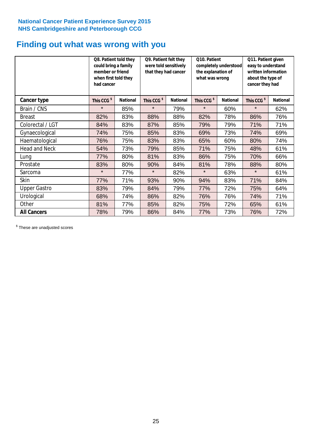## **Finding out what was wrong with you**

|                      | Q8. Patient told they<br>could bring a family<br>member or friend<br>when first told they<br>had cancer |                 | Q9. Patient felt they<br>were told sensitively<br>that they had cancer |                 | Q10. Patient<br>completely understood<br>the explanation of<br>what was wrong |                 | Q11. Patient given<br>easy to understand<br>written information<br>about the type of<br>cancer they had |                 |
|----------------------|---------------------------------------------------------------------------------------------------------|-----------------|------------------------------------------------------------------------|-----------------|-------------------------------------------------------------------------------|-----------------|---------------------------------------------------------------------------------------------------------|-----------------|
| Cancer type          | This CCG <sup>\$</sup>                                                                                  | <b>National</b> | This CCG <sup>\$</sup>                                                 | <b>National</b> | This CCG <sup>\$</sup>                                                        | <b>National</b> | This CCG <sup>\$</sup>                                                                                  | <b>National</b> |
| Brain / CNS          | $\star$                                                                                                 | 85%             | $\star$                                                                | 79%             | $\star$                                                                       | 60%             | $\star$                                                                                                 | 62%             |
| <b>Breast</b>        | 82%                                                                                                     | 83%             | 88%                                                                    | 88%             | 82%                                                                           | 78%             | 86%                                                                                                     | 76%             |
| Colorectal / LGT     | 84%                                                                                                     | 83%             | 87%                                                                    | 85%             | 79%                                                                           | 79%             | 71%                                                                                                     | 71%             |
| Gynaecological       | 74%                                                                                                     | 75%             | 85%                                                                    | 83%             | 69%                                                                           | 73%             | 74%                                                                                                     | 69%             |
| Haematological       | 76%                                                                                                     | 75%             | 83%                                                                    | 83%             | 65%                                                                           | 60%             | 80%                                                                                                     | 74%             |
| <b>Head and Neck</b> | 54%                                                                                                     | 73%             | 79%                                                                    | 85%             | 71%                                                                           | 75%             | 48%                                                                                                     | 61%             |
| Lung                 | 77%                                                                                                     | 80%             | 81%                                                                    | 83%             | 86%                                                                           | 75%             | 70%                                                                                                     | 66%             |
| Prostate             | 83%                                                                                                     | 80%             | 90%                                                                    | 84%             | 81%                                                                           | 78%             | 88%                                                                                                     | 80%             |
| Sarcoma              | $\star$                                                                                                 | 77%             | $\star$                                                                | 82%             | $\star$                                                                       | 63%             | $\star$                                                                                                 | 61%             |
| Skin                 | 77%                                                                                                     | 71%             | 93%                                                                    | 90%             | 94%                                                                           | 83%             | 71%                                                                                                     | 84%             |
| <b>Upper Gastro</b>  | 83%                                                                                                     | 79%             | 84%                                                                    | 79%             | 77%                                                                           | 72%             | 75%                                                                                                     | 64%             |
| Urological           | 68%                                                                                                     | 74%             | 86%                                                                    | 82%             | 76%                                                                           | 76%             | 74%                                                                                                     | 71%             |
| Other                | 81%                                                                                                     | 77%             | 85%                                                                    | 82%             | 75%                                                                           | 72%             | 65%                                                                                                     | 61%             |
| <b>All Cancers</b>   | 78%                                                                                                     | 79%             | 86%                                                                    | 84%             | 77%                                                                           | 73%             | 76%                                                                                                     | 72%             |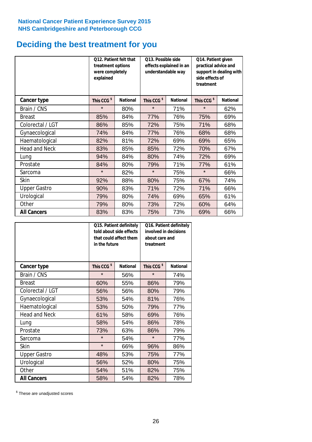## **Deciding the best treatment for you**

|                      | treatment options<br>were completely<br>explained | 012. Patient felt that | O13. Possible side<br>understandable way | effects explained in an | Q14. Patient given<br>practical advice and<br>support in dealing with<br>side effects of<br>treatment<br>This CCG <sup>\$</sup> |                 |  |
|----------------------|---------------------------------------------------|------------------------|------------------------------------------|-------------------------|---------------------------------------------------------------------------------------------------------------------------------|-----------------|--|
| <b>Cancer type</b>   | This CCG <sup>\$</sup>                            | <b>National</b>        | This CCG <sup>\$</sup>                   | <b>National</b>         |                                                                                                                                 | <b>National</b> |  |
| Brain / CNS          | $\star$                                           | 80%                    | $\star$                                  | 71%                     | $\star$                                                                                                                         | 62%             |  |
| <b>Breast</b>        | 85%                                               | 84%                    | 77%                                      | 76%                     | 75%                                                                                                                             | 69%             |  |
| Colorectal / LGT     | 86%                                               | 85%                    | 72%                                      | 75%                     | 71%                                                                                                                             | 68%             |  |
| Gynaecological       | 74%                                               | 84%                    | 77%                                      | 76%                     | 68%                                                                                                                             | 68%             |  |
| Haematological       | 82%                                               | 81%                    | 72%                                      | 69%                     | 69%                                                                                                                             | 65%             |  |
| <b>Head and Neck</b> | 83%                                               | 85%                    | 85%                                      | 72%                     | 70%                                                                                                                             | 67%             |  |
| Lung                 | 94%                                               | 84%                    | 80%                                      | 74%                     | 72%                                                                                                                             | 69%             |  |
| Prostate             | 84%                                               | 80%                    | 79%                                      | 71%                     | 77%                                                                                                                             | 61%             |  |
| Sarcoma              | $\star$                                           | 82%                    | $\star$                                  | 75%                     | $\star$                                                                                                                         | 66%             |  |
| Skin                 | 92%                                               | 88%                    | 80%                                      | 75%                     | 67%                                                                                                                             | 74%             |  |
| <b>Upper Gastro</b>  | 90%                                               | 83%                    | 71%                                      | 72%                     | 71%                                                                                                                             | 66%             |  |
| Urological           | 79%                                               | 80%                    | 74%                                      | 69%                     | 65%                                                                                                                             | 61%             |  |
| Other                | 79%                                               | 80%                    | 73%                                      | 72%                     | 60%                                                                                                                             | 64%             |  |
| <b>All Cancers</b>   | 83%                                               | 83%                    | 75%                                      | 73%                     | 69%                                                                                                                             | 66%             |  |

|                      | in the future          | Q15. Patient definitely<br>told about side effects<br>that could affect them | Q16. Patient definitely<br>involved in decisions<br>about care and<br>treatment |                 |  |
|----------------------|------------------------|------------------------------------------------------------------------------|---------------------------------------------------------------------------------|-----------------|--|
| <b>Cancer type</b>   | This CCG <sup>\$</sup> | <b>National</b>                                                              | This CCG <sup>\$</sup>                                                          | <b>National</b> |  |
| Brain / CNS          | $\star$                | 56%                                                                          | $\star$                                                                         | 74%             |  |
| <b>Breast</b>        | 60%                    | 55%                                                                          | 86%                                                                             | 79%             |  |
| Colorectal / LGT     | 56%                    | 56%                                                                          | 80%                                                                             | 79%             |  |
| Gynaecological       | 54%<br>53%             |                                                                              | 81%                                                                             | 76%             |  |
| Haematological       | 53%                    | 50%                                                                          | 79%                                                                             | 77%             |  |
| <b>Head and Neck</b> | 61%                    | 58%                                                                          | 69%                                                                             | 76%             |  |
| Lung                 | 58%                    | 54%                                                                          | 86%                                                                             | 78%             |  |
| Prostate             | 73%                    | 63%                                                                          | 86%                                                                             | 79%             |  |
| Sarcoma              | $\star$                | 54%                                                                          | $\star$                                                                         | 77%             |  |
| Skin                 | $\star$                | 66%                                                                          | 96%                                                                             | 86%             |  |
| <b>Upper Gastro</b>  | 48%                    | 53%                                                                          | 75%                                                                             | 77%             |  |
| Urological           | 56%                    | 52%                                                                          | 80%                                                                             | 75%             |  |
| Other                | 54%                    | 51%                                                                          | 82%                                                                             | 75%             |  |
| <b>All Cancers</b>   | 58%                    | 54%                                                                          | 82%                                                                             | 78%             |  |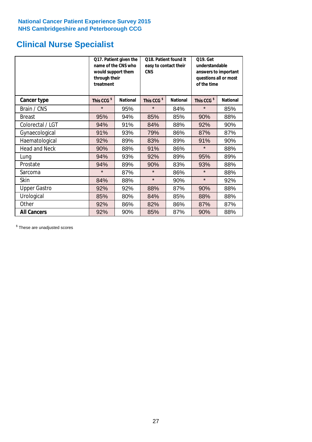# **Clinical Nurse Specialist**

|                      | would support them<br>through their<br>treatment | Q17. Patient given the<br>name of the CNS who | Q18. Patient found it<br>easy to contact their<br><b>CNS</b> |                 | <b>Q19. Get</b><br>understandable<br>answers to important<br>questions all or most<br>of the time |                 |
|----------------------|--------------------------------------------------|-----------------------------------------------|--------------------------------------------------------------|-----------------|---------------------------------------------------------------------------------------------------|-----------------|
| <b>Cancer type</b>   | This CCG <sup>\$</sup>                           | <b>National</b>                               | This CCG <sup>\$</sup>                                       | <b>National</b> | This CCG <sup>\$</sup>                                                                            | <b>National</b> |
| Brain / CNS          | $\star$                                          | 95%                                           | $\star$                                                      | 84%             | $\star$                                                                                           | 85%             |
| <b>Breast</b>        | 95%                                              | 94%                                           | 85%                                                          | 85%             | 90%                                                                                               | 88%             |
| Colorectal / LGT     | 94%                                              | 91%                                           | 84%                                                          | 88%             | 92%                                                                                               | 90%             |
| Gynaecological       | 91%                                              | 93%                                           | 79%                                                          | 86%             | 87%                                                                                               | 87%             |
| Haematological       | 92%                                              | 89%                                           | 83%                                                          | 89%             | 91%                                                                                               | 90%             |
| <b>Head and Neck</b> | 90%                                              | 88%                                           | 91%                                                          | 86%             | $\star$                                                                                           | 88%             |
| Lung                 | 94%                                              | 93%                                           | 92%                                                          | 89%             | 95%                                                                                               | 89%             |
| Prostate             | 94%                                              | 89%                                           | 90%                                                          | 83%             | 93%                                                                                               | 88%             |
| Sarcoma              | $\star$                                          | 87%                                           | $\star$                                                      | 86%             | $\star$                                                                                           | 88%             |
| Skin                 | 84%                                              | 88%                                           | $\star$                                                      | 90%             | $\star$                                                                                           | 92%             |
| <b>Upper Gastro</b>  | 92%                                              | 92%                                           | 88%                                                          | 87%             | 90%                                                                                               | 88%             |
| Urological           | 85%                                              | 80%                                           | 84%                                                          | 85%             | 88%                                                                                               | 88%             |
| Other                | 92%                                              | 86%                                           | 82%                                                          | 86%             | 87%                                                                                               | 87%             |
| <b>All Cancers</b>   | 92%                                              | 90%                                           | 85%                                                          | 87%             | 90%                                                                                               | 88%             |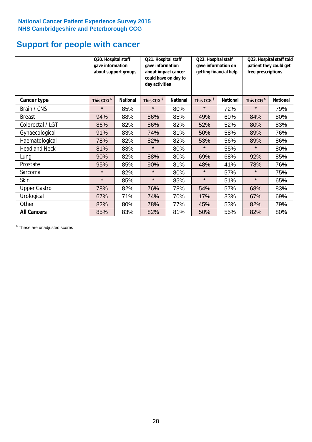# **Support for people with cancer**

|                      | Q20. Hospital staff<br>gave information | about support groups | Q21. Hospital staff<br>gave information<br>about impact cancer<br>could have on day to<br>day activities |                 | Q22. Hospital staff<br>gave information on<br>getting financial help |                 | Q23. Hospital staff told<br>patient they could get<br>free prescriptions |                 |
|----------------------|-----------------------------------------|----------------------|----------------------------------------------------------------------------------------------------------|-----------------|----------------------------------------------------------------------|-----------------|--------------------------------------------------------------------------|-----------------|
| Cancer type          | This CCG <sup>\$</sup>                  | <b>National</b>      | This CCG <sup>\$</sup>                                                                                   | <b>National</b> | This CCG <sup>\$</sup>                                               | <b>National</b> | This CCG <sup>\$</sup>                                                   | <b>National</b> |
| Brain / CNS          | $\star$                                 | 85%                  | $\star$                                                                                                  | 80%             | $\star$                                                              | 72%             | $\star$                                                                  | 79%             |
| <b>Breast</b>        | 94%                                     | 88%                  | 86%                                                                                                      | 85%             | 49%                                                                  | 60%             | 84%                                                                      | 80%             |
| Colorectal / LGT     | 86%                                     | 82%                  | 86%                                                                                                      | 82%             | 52%                                                                  | 52%             | 80%                                                                      | 83%             |
| Gynaecological       | 91%                                     | 83%                  | 74%                                                                                                      | 81%             | 50%                                                                  | 58%             | 89%                                                                      | 76%             |
| Haematological       | 78%                                     | 82%                  | 82%                                                                                                      | 82%             | 53%                                                                  | 56%             | 89%                                                                      | 86%             |
| <b>Head and Neck</b> | 81%                                     | 83%                  | $\star$                                                                                                  | 80%             | $\star$                                                              | 55%             | $\star$                                                                  | 80%             |
| Lung                 | 90%                                     | 82%                  | 88%                                                                                                      | 80%             | 69%                                                                  | 68%             | 92%                                                                      | 85%             |
| Prostate             | 95%                                     | 85%                  | 90%                                                                                                      | 81%             | 48%                                                                  | 41%             | 78%                                                                      | 76%             |
| Sarcoma              | $\star$                                 | 82%                  | $\star$                                                                                                  | 80%             | $\star$                                                              | 57%             | $\star$                                                                  | 75%             |
| Skin                 | $\star$                                 | 85%                  | $\star$                                                                                                  | 85%             | $\star$                                                              | 51%             | $\star$                                                                  | 65%             |
| <b>Upper Gastro</b>  | 78%                                     | 82%                  | 76%                                                                                                      | 78%             | 54%                                                                  | 57%             | 68%                                                                      | 83%             |
| Urological           | 67%                                     | 71%                  | 74%                                                                                                      | 70%             | 17%                                                                  | 33%             | 67%                                                                      | 69%             |
| Other                | 82%                                     | 80%                  | 78%                                                                                                      | 77%             | 45%                                                                  | 53%             | 82%                                                                      | 79%             |
| <b>All Cancers</b>   | 85%                                     | 83%                  | 82%                                                                                                      | 81%             | 50%                                                                  | 55%             | 82%                                                                      | 80%             |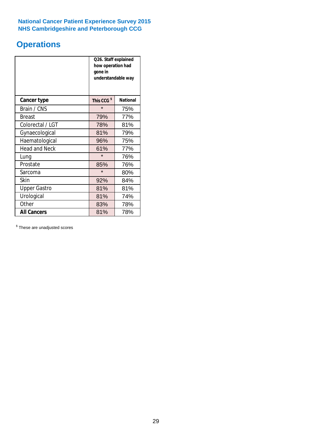# **Operations**

|                      | Q26. Staff explained<br>how operation had<br>gone in<br>understandable way |                 |  |  |  |
|----------------------|----------------------------------------------------------------------------|-----------------|--|--|--|
| <b>Cancer type</b>   | This CCG <sup>\$</sup>                                                     | <b>National</b> |  |  |  |
| Brain / CNS          | $\star$                                                                    | 75%             |  |  |  |
| <b>Breast</b>        | 79%                                                                        | 77%             |  |  |  |
| Colorectal / LGT     | 78%                                                                        | 81%             |  |  |  |
| Gynaecological       | 81%                                                                        | 79%             |  |  |  |
| Haematological       | 96%                                                                        | 75%             |  |  |  |
| <b>Head and Neck</b> | 61%                                                                        | 77%             |  |  |  |
| Lung                 | $\star$                                                                    | 76%             |  |  |  |
| Prostate             | 85%                                                                        | 76%             |  |  |  |
| Sarcoma              | $\star$                                                                    | 80%             |  |  |  |
| Skin                 | 92%                                                                        | 84%             |  |  |  |
| <b>Upper Gastro</b>  | 81%                                                                        | 81%             |  |  |  |
| Urological           | 81%                                                                        | 74%             |  |  |  |
| Other                | 83%<br>78%                                                                 |                 |  |  |  |
| <b>All Cancers</b>   | 81%<br>78%                                                                 |                 |  |  |  |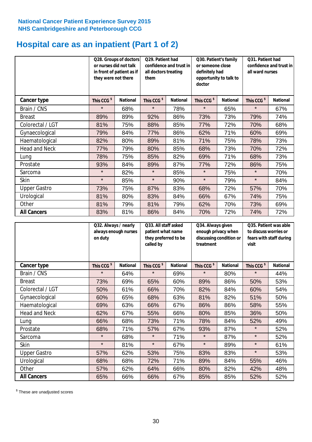## **Hospital care as an inpatient (Part 1 of 2)**

|                      | or nurses did not talk<br>they were not there | Q28. Groups of doctors<br>in front of patient as if | Q29. Patient had<br>confidence and trust in<br>all doctors treating<br>them |                 | Q30. Patient's family<br>or someone close<br>definitely had<br>opportunity to talk to<br>doctor |                 | Q31. Patient had<br>confidence and trust in I<br>all ward nurses |                 |
|----------------------|-----------------------------------------------|-----------------------------------------------------|-----------------------------------------------------------------------------|-----------------|-------------------------------------------------------------------------------------------------|-----------------|------------------------------------------------------------------|-----------------|
| Cancer type          | This CCG <sup>\$</sup>                        | <b>National</b>                                     | This CCG <sup>\$</sup>                                                      | <b>National</b> | This CCG <sup>\$</sup>                                                                          | <b>National</b> | This CCG <sup>\$</sup>                                           | <b>National</b> |
| Brain / CNS          | $\star$                                       | 68%                                                 | $\star$                                                                     | 78%             | $\star$                                                                                         | 65%             | $\star$                                                          | 67%             |
| <b>Breast</b>        | 89%                                           | 89%                                                 | 92%                                                                         | 86%             | 73%                                                                                             | 73%             | 79%                                                              | 74%             |
| Colorectal / LGT     | 81%                                           | 75%                                                 | 88%                                                                         | 85%             | 77%                                                                                             | 72%             | 70%                                                              | 68%             |
| Gynaecological       | 79%                                           | 84%                                                 | 77%                                                                         | 86%             | 62%                                                                                             | 71%             | 60%                                                              | 69%             |
| Haematological       | 82%                                           | 80%                                                 | 89%                                                                         | 81%             | 71%                                                                                             | 75%             | 78%                                                              | 73%             |
| <b>Head and Neck</b> | 77%                                           | 79%                                                 | 80%                                                                         | 85%             | 68%                                                                                             | 73%             | 70%                                                              | 72%             |
| Lung                 | 78%                                           | 75%                                                 | 85%                                                                         | 82%             | 69%                                                                                             | 71%             | 68%                                                              | 73%             |
| Prostate             | 93%                                           | 84%                                                 | 89%                                                                         | 87%             | 77%                                                                                             | 72%             | 86%                                                              | 75%             |
| Sarcoma              | $\star$                                       | 82%                                                 | $\star$                                                                     | 85%             | $\star$                                                                                         | 75%             | $\star$                                                          | 70%             |
| Skin                 | $\star$                                       | 85%                                                 | $\star$                                                                     | 90%             | $\star$                                                                                         | 79%             | $\star$                                                          | 84%             |
| <b>Upper Gastro</b>  | 73%                                           | 75%                                                 | 87%                                                                         | 83%             | 68%                                                                                             | 72%             | 57%                                                              | 70%             |
| Urological           | 81%                                           | 80%                                                 | 83%                                                                         | 84%             | 66%                                                                                             | 67%             | 74%                                                              | 75%             |
| Other                | 81%                                           | 79%                                                 | 81%                                                                         | 79%             | 62%                                                                                             | 70%             | 73%                                                              | 69%             |
| <b>All Cancers</b>   | 83%                                           | 81%                                                 | 86%                                                                         | 84%             | 70%                                                                                             | 72%             | 74%                                                              | 72%             |

|                      | Q32. Always / nearly<br>always enough nurses<br>on duty |                 | Q33. All staff asked<br>patient what name<br>they preferred to be<br>called by |                 | Q34. Always given<br>enough privacy when<br>discussing condition or<br>treatment |                 | Q35. Patient was able<br>to discuss worries or<br>fears with staff during<br>visit |                 |
|----------------------|---------------------------------------------------------|-----------------|--------------------------------------------------------------------------------|-----------------|----------------------------------------------------------------------------------|-----------------|------------------------------------------------------------------------------------|-----------------|
| <b>Cancer type</b>   | This CCG <sup>\$</sup>                                  | <b>National</b> | This CCG <sup>\$</sup>                                                         | <b>National</b> | This CCG <sup>\$</sup>                                                           | <b>National</b> | This CCG <sup>\$</sup>                                                             | <b>National</b> |
| Brain / CNS          | $\star$                                                 | 64%             | $\star$                                                                        | 69%             | $\star$                                                                          | 80%             | $\star$                                                                            | 44%             |
| <b>Breast</b>        | 73%                                                     | 69%             | 65%                                                                            | 60%             | 89%                                                                              | 86%             | 50%                                                                                | 53%             |
| Colorectal / LGT     | 50%                                                     | 61%             | 66%                                                                            | 70%             | 82%                                                                              | 84%             | 60%                                                                                | 54%             |
| Gynaecological       | 60%                                                     | 65%             | 68%                                                                            | 63%             | 81%                                                                              | 82%             | 51%                                                                                | 50%             |
| Haematological       | 69%                                                     | 63%             | 66%                                                                            | 67%             | 86%                                                                              | 86%             | 58%                                                                                | 55%             |
| <b>Head and Neck</b> | 62%                                                     | 67%             | 55%                                                                            | 66%             | 80%                                                                              | 85%             | 36%                                                                                | 50%             |
| Lung                 | 66%                                                     | 68%             | 73%                                                                            | 71%             | 78%                                                                              | 84%             | 52%                                                                                | 49%             |
| Prostate             | 68%                                                     | 71%             | 57%                                                                            | 67%             | 93%                                                                              | 87%             | $\star$                                                                            | 52%             |
| Sarcoma              | $\star$                                                 | 68%             | $\star$                                                                        | 71%             | $\star$                                                                          | 87%             | $\star$                                                                            | 52%             |
| Skin                 | $\star$                                                 | 81%             | $\star$                                                                        | 67%             | $\star$                                                                          | 89%             | $\star$                                                                            | 61%             |
| <b>Upper Gastro</b>  | 57%                                                     | 62%             | 53%                                                                            | 75%             | 83%                                                                              | 83%             | $\star$                                                                            | 53%             |
| Urological           | 68%                                                     | 68%             | 72%                                                                            | 71%             | 89%                                                                              | 84%             | 55%                                                                                | 46%             |
| Other                | 57%                                                     | 62%             | 64%                                                                            | 66%             | 80%                                                                              | 82%             | 42%                                                                                | 48%             |
| <b>All Cancers</b>   | 65%                                                     | 66%             | 66%                                                                            | 67%             | 85%                                                                              | 85%             | 52%                                                                                | 52%             |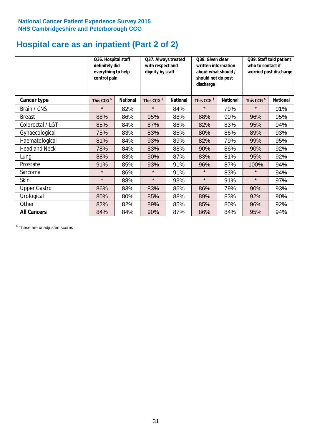# **Hospital care as an inpatient (Part 2 of 2)**

|                      | Q36. Hospital staff<br>definitely did<br>everything to help<br>control pain |                 | Q37. Always treated<br>with respect and<br>dignity by staff |                 | Q38. Given clear<br>written information<br>about what should /<br>should not do post<br>discharge |                 | Q39. Staff told patient<br>who to contact if<br>worried post discharge |                 |  |
|----------------------|-----------------------------------------------------------------------------|-----------------|-------------------------------------------------------------|-----------------|---------------------------------------------------------------------------------------------------|-----------------|------------------------------------------------------------------------|-----------------|--|
| Cancer type          | This CCG <sup>\$</sup>                                                      | <b>National</b> | This CCG <sup>\$</sup>                                      | <b>National</b> | This CCG <sup>\$</sup>                                                                            | <b>National</b> | This CCG <sup>\$</sup>                                                 | <b>National</b> |  |
| Brain / CNS          | $\star$                                                                     | 82%             | $\star$                                                     | 84%             | $\star$                                                                                           | 79%             | $\star$                                                                | 91%             |  |
| <b>Breast</b>        | 88%                                                                         | 86%             | 95%                                                         | 88%             | 88%                                                                                               | 90%             | 96%                                                                    | 95%             |  |
| Colorectal / LGT     | 85%                                                                         | 84%             | 87%                                                         | 86%             | 82%                                                                                               | 83%             | 95%                                                                    | 94%             |  |
| Gynaecological       | 75%                                                                         | 83%             | 83%                                                         | 85%             | 80%                                                                                               | 86%             | 89%                                                                    | 93%             |  |
| Haematological       | 81%                                                                         | 84%             | 93%                                                         | 89%             | 82%                                                                                               | 79%             | 99%                                                                    | 95%             |  |
| <b>Head and Neck</b> | 78%                                                                         | 84%             | 83%                                                         | 88%             | 90%                                                                                               | 86%             | 90%                                                                    | 92%             |  |
| Lung                 | 88%                                                                         | 83%             | 90%                                                         | 87%             | 83%                                                                                               | 81%             | 95%                                                                    | 92%             |  |
| Prostate             | 91%                                                                         | 85%             | 93%                                                         | 91%             | 96%                                                                                               | 87%             | 100%                                                                   | 94%             |  |
| Sarcoma              | $\star$                                                                     | 86%             | $\star$                                                     | 91%             | $\star$                                                                                           | 83%             | $\star$                                                                | 94%             |  |
| Skin                 | $\star$                                                                     | 88%             | $\star$                                                     | 93%             | $\star$                                                                                           | 91%             | $\star$                                                                | 97%             |  |
| <b>Upper Gastro</b>  | 86%                                                                         | 83%             | 83%                                                         | 86%             | 86%                                                                                               | 79%             | 90%                                                                    | 93%             |  |
| Urological           | 80%                                                                         | 80%             | 85%                                                         | 88%             | 89%                                                                                               | 83%             | 92%                                                                    | 90%             |  |
| Other                | 82%                                                                         | 82%             | 89%                                                         | 85%             | 85%                                                                                               | 80%             | 96%                                                                    | 92%             |  |
| <b>All Cancers</b>   | 84%                                                                         | 84%             | 90%                                                         | 87%             | 86%                                                                                               | 84%             | 95%                                                                    | 94%             |  |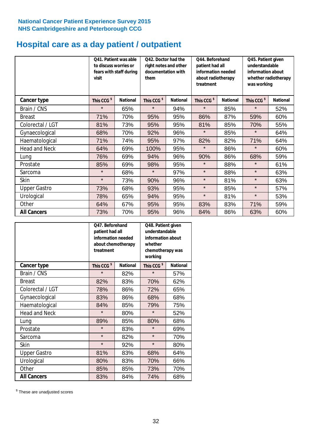# **Hospital care as a day patient / outpatient**

|                      | to discuss worries or<br>visit | Q41. Patient was able<br>fears with staff during | Q42. Doctor had the<br>right notes and other<br>documentation with<br>them |                 | Q44. Beforehand<br>patient had all<br>information needed<br>about radiotherapy<br>treatment |                 | Q45. Patient given<br>understandable<br>information about<br>whether radiotherapy<br>was working |                 |
|----------------------|--------------------------------|--------------------------------------------------|----------------------------------------------------------------------------|-----------------|---------------------------------------------------------------------------------------------|-----------------|--------------------------------------------------------------------------------------------------|-----------------|
| Cancer type          | This CCG <sup>\$</sup>         | <b>National</b>                                  | This CCG <sup>\$</sup>                                                     | <b>National</b> | This CCG <sup>\$</sup>                                                                      | <b>National</b> | This CCG <sup>\$</sup>                                                                           | <b>National</b> |
| Brain / CNS          | $\star$                        | 65%                                              | $\star$                                                                    | 94%             | $\star$                                                                                     | 85%             | $\star$                                                                                          | 52%             |
| <b>Breast</b>        | 71%                            | 70%                                              | 95%                                                                        | 95%             | 86%                                                                                         | 87%             | 59%                                                                                              | 60%             |
| Colorectal / LGT     | 81%                            | 73%                                              | 95%                                                                        | 95%             | 81%                                                                                         | 85%             | 70%                                                                                              | 55%             |
| Gynaecological       | 68%                            | 70%                                              | 92%                                                                        | 96%             | $\star$                                                                                     | 85%             | $\star$                                                                                          | 64%             |
| Haematological       | 71%                            | 74%                                              | 95%                                                                        | 97%             | 82%                                                                                         | 82%             | 71%                                                                                              | 64%             |
| <b>Head and Neck</b> | 64%                            | 69%                                              | 100%                                                                       | 95%             | $\star$                                                                                     | 86%             | $\star$                                                                                          | 60%             |
| Lung                 | 76%                            | 69%                                              | 94%                                                                        | 96%             | 90%                                                                                         | 86%             | 68%                                                                                              | 59%             |
| Prostate             | 85%                            | 69%                                              | 98%                                                                        | 95%             | $\star$                                                                                     | 88%             | $\star$                                                                                          | 61%             |
| Sarcoma              | $\star$                        | 68%                                              | $\star$                                                                    | 97%             | $\star$                                                                                     | 88%             | $\star$                                                                                          | 63%             |
| Skin                 | $\star$                        | 73%                                              | 90%                                                                        | 96%             | $\star$                                                                                     | 81%             | $\star$                                                                                          | 63%             |
| <b>Upper Gastro</b>  | 73%                            | 68%                                              | 93%                                                                        | 95%             | $\star$                                                                                     | 85%             | $\star$                                                                                          | 57%             |
| Urological           | 78%                            | 65%                                              | 94%                                                                        | 95%             | $\star$                                                                                     | 81%             | $\star$                                                                                          | 53%             |
| Other                | 64%                            | 67%                                              | 95%                                                                        | 95%             | 83%                                                                                         | 83%             | 71%                                                                                              | 59%             |
| <b>All Cancers</b>   | 73%                            | 70%                                              | 95%                                                                        | 96%             | 84%                                                                                         | 86%             | 63%                                                                                              | 60%             |

|                      | O47. Beforehand<br>patient had all<br>information needed<br>about chemotherapy<br>treatment |                 | Q48. Patient given<br>understandable<br>information about<br>whether<br>chemotherapy was<br>working |                 |  |
|----------------------|---------------------------------------------------------------------------------------------|-----------------|-----------------------------------------------------------------------------------------------------|-----------------|--|
| <b>Cancer type</b>   | This CCG <sup>\$</sup>                                                                      | <b>National</b> | This CCG <sup>\$</sup>                                                                              | <b>National</b> |  |
| Brain / CNS          | $\star$                                                                                     | 82%             | $\star$                                                                                             | 57%             |  |
| <b>Breast</b>        | 82%                                                                                         | 83%             | 70%                                                                                                 | 62%             |  |
| Colorectal / LGT     | 78%                                                                                         | 86%             | 72%                                                                                                 | 65%             |  |
| Gynaecological       | 83%                                                                                         | 86%             | 68%                                                                                                 | 68%             |  |
| Haematological       | 84%<br>85%                                                                                  |                 | 79%                                                                                                 | 75%             |  |
| <b>Head and Neck</b> | $\star$                                                                                     | 80%             | $\star$                                                                                             | 52%             |  |
| Lung                 | 89%                                                                                         | 85%             | 80%                                                                                                 | 68%             |  |
| Prostate             | $\star$                                                                                     | 83%             | $\star$                                                                                             | 69%             |  |
| Sarcoma              | $\star$                                                                                     | 82%             | $\star$                                                                                             | 70%             |  |
| <b>Skin</b>          | $\star$                                                                                     | 92%             | $\star$                                                                                             | 80%             |  |
| <b>Upper Gastro</b>  | 81%                                                                                         | 83%             | 68%                                                                                                 | 64%             |  |
| Urological           | 80%                                                                                         | 83%             | 70%                                                                                                 | 66%             |  |
| Other                | 85%                                                                                         | 85%             | 73%                                                                                                 | 70%             |  |
| <b>All Cancers</b>   | 83%                                                                                         | 84%             | 74%                                                                                                 | 68%             |  |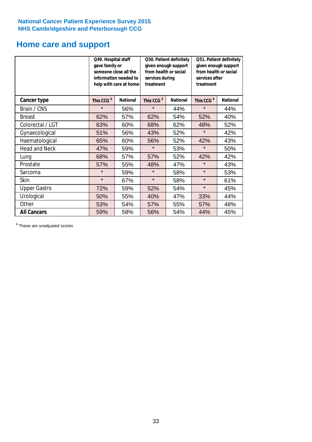## **Home care and support**

|                      | Q49. Hospital staff<br>gave family or | someone close all the<br>information needed to<br>help with care at home | Q50. Patient definitely<br>given enough support<br>from health or social<br>services during<br>treatment |                 | Q51. Patient definitely<br>given enough support<br>from health or social<br>services after<br>treatment |                 |  |
|----------------------|---------------------------------------|--------------------------------------------------------------------------|----------------------------------------------------------------------------------------------------------|-----------------|---------------------------------------------------------------------------------------------------------|-----------------|--|
| <b>Cancer type</b>   | This CCG <sup>\$</sup>                | <b>National</b>                                                          | This CCG <sup>\$</sup>                                                                                   | <b>National</b> | This CCG <sup>\$</sup>                                                                                  | <b>National</b> |  |
| Brain / CNS          | $\star$                               | 56%                                                                      | $\star$                                                                                                  | 44%             | $\star$                                                                                                 | 44%             |  |
| <b>Breast</b>        | 62%                                   | 57%                                                                      | 62%                                                                                                      | 54%             | 52%                                                                                                     | 40%             |  |
| Colorectal / LGT     | 63%                                   | 60%                                                                      | 68%                                                                                                      | 62%             | 48%                                                                                                     | 52%             |  |
| Gynaecological       | 51%                                   | 56%                                                                      | 52%<br>43%                                                                                               |                 | $\star$                                                                                                 | 42%             |  |
| Haematological       | 65%                                   | 60%                                                                      | 56%                                                                                                      | 52%             | 42%                                                                                                     | 43%             |  |
| <b>Head and Neck</b> | 47%                                   | 59%                                                                      | $\star$                                                                                                  | 53%             | $\star$                                                                                                 | 50%             |  |
| Lung                 | 68%                                   | 57%                                                                      | 57%                                                                                                      | 52%             | 42%                                                                                                     | 42%             |  |
| Prostate             | 57%                                   | 55%                                                                      | 48%                                                                                                      | 47%             | $\star$                                                                                                 | 43%             |  |
| Sarcoma              | $\star$                               | 59%                                                                      | $\star$                                                                                                  | 58%             | $\star$                                                                                                 | 53%             |  |
| Skin                 | $\star$                               | 67%                                                                      | $\star$                                                                                                  | 58%             | $\star$                                                                                                 | 61%             |  |
| <b>Upper Gastro</b>  | 72%                                   | 59%                                                                      | 52%                                                                                                      | 54%             | $\star$                                                                                                 | 45%             |  |
| Urological           | 50%                                   | 55%                                                                      | 40%                                                                                                      | 47%             | 33%                                                                                                     | 44%             |  |
| Other                | 53%                                   | 54%                                                                      | 57%                                                                                                      | 55%             | 57%                                                                                                     | 48%             |  |
| <b>All Cancers</b>   | 59%                                   | 58%                                                                      | 56%                                                                                                      | 54%             | 44%                                                                                                     | 45%             |  |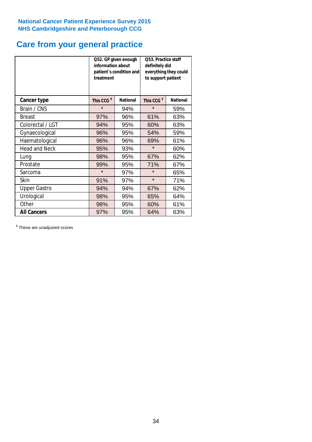# **Care from your general practice**

|                      | information about<br>treatment | Q52. GP given enough<br>patient's condition and | O53. Practice staff<br>definitely did<br>everything they could<br>to support patient |                 |  |
|----------------------|--------------------------------|-------------------------------------------------|--------------------------------------------------------------------------------------|-----------------|--|
| <b>Cancer type</b>   | This CCG <sup>\$</sup>         | <b>National</b>                                 | This CCG <sup>\$</sup>                                                               | <b>National</b> |  |
| Brain / CNS          | $\star$                        | 94%                                             | $\star$                                                                              | 59%             |  |
| <b>Breast</b>        | 97%                            | 96%                                             | 61%                                                                                  | 63%             |  |
| Colorectal / LGT     | 94%                            | 95%                                             | 60%                                                                                  | 63%             |  |
| Gynaecological       | 96%                            | 95%                                             | 54%                                                                                  | 59%             |  |
| Haematological       | 96%                            | 96%                                             | 69%                                                                                  | 61%             |  |
| <b>Head and Neck</b> | 95%                            | 93%                                             | $\star$                                                                              | 60%             |  |
| Lung                 | 98%                            | 95%                                             | 67%                                                                                  | 62%             |  |
| Prostate             | 99%                            | 95%                                             | 71%                                                                                  | 67%             |  |
| Sarcoma              | $\star$                        | 97%                                             | $\star$                                                                              | 65%             |  |
| Skin                 | 91%                            | 97%                                             | $\star$                                                                              | 71%             |  |
| <b>Upper Gastro</b>  | 94%                            | 94%                                             | 67%                                                                                  | 62%             |  |
| Urological           | 98%                            | 95%                                             | 65%                                                                                  | 64%             |  |
| Other                | 98%                            | 95%                                             | 60%                                                                                  | 61%             |  |
| <b>All Cancers</b>   | 97%                            | 95%                                             | 64%                                                                                  | 63%             |  |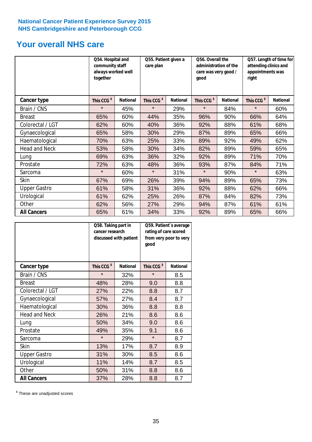# **Your overall NHS care**

|                      | together               | Q54. Hospital and<br>community staff<br>always worked well |                        | Q55. Patient given a | qood                   | Q56. Overall the<br>administration of the<br>care was very good / |                        | Q57. Length of time for<br>attending clinics and<br>appointments was<br>right |  |
|----------------------|------------------------|------------------------------------------------------------|------------------------|----------------------|------------------------|-------------------------------------------------------------------|------------------------|-------------------------------------------------------------------------------|--|
| Cancer type          | This CCG <sup>\$</sup> | <b>National</b>                                            | This CCG <sup>\$</sup> | <b>National</b>      | This CCG <sup>\$</sup> | <b>National</b>                                                   | This CCG <sup>\$</sup> | <b>National</b>                                                               |  |
| Brain / CNS          | $\star$                | 45%                                                        | $\star$                | 29%                  | $\star$                | 84%                                                               | $\star$                | 60%                                                                           |  |
| <b>Breast</b>        | 65%                    | 60%                                                        | 44%                    | 35%                  | 96%                    | 90%                                                               | 66%                    | 64%                                                                           |  |
| Colorectal / LGT     | 62%                    | 60%                                                        | 40%                    | 36%                  | 92%                    | 88%                                                               | 61%                    | 68%                                                                           |  |
| Gynaecological       | 65%                    | 58%                                                        | 30%                    | 29%                  | 87%                    | 89%                                                               | 65%                    | 66%                                                                           |  |
| Haematological       | 70%                    | 63%                                                        | 25%                    | 33%                  | 89%                    | 92%                                                               | 49%                    | 62%                                                                           |  |
| <b>Head and Neck</b> | 53%                    | 58%                                                        | 30%                    | 34%                  | 82%                    | 89%                                                               | 59%                    | 65%                                                                           |  |
| Lung                 | 69%                    | 63%                                                        | 36%                    | 32%                  | 92%                    | 89%                                                               | 71%                    | 70%                                                                           |  |
| Prostate             | 72%                    | 63%                                                        | 48%                    | 36%                  | 93%                    | 87%                                                               | 84%                    | 71%                                                                           |  |
| Sarcoma              | $\star$                | 60%                                                        | $\star$                | 31%                  | $\star$                | 90%                                                               | $\star$                | 63%                                                                           |  |
| Skin                 | 67%                    | 69%                                                        | 26%                    | 39%                  | 94%                    | 89%                                                               | 65%                    | 73%                                                                           |  |
| <b>Upper Gastro</b>  | 61%                    | 58%                                                        | 31%                    | 36%                  | 92%                    | 88%                                                               | 62%                    | 66%                                                                           |  |
| Urological           | 61%                    | 62%                                                        | 25%                    | 26%                  | 87%                    | 84%                                                               | 82%                    | 73%                                                                           |  |
| Other                | 62%                    | 56%                                                        | 27%                    | 29%                  | 94%                    | 87%                                                               | 61%                    | 61%                                                                           |  |
| <b>All Cancers</b>   | 65%                    | 61%                                                        | 34%                    | 33%                  | 92%                    | 89%                                                               | 65%                    | 66%                                                                           |  |

|                      | Q58. Taking part in<br>cancer research | discussed with patient | Q59. Patient's average<br>rating of care scored<br>from very poor to very<br>good |                 |  |
|----------------------|----------------------------------------|------------------------|-----------------------------------------------------------------------------------|-----------------|--|
| <b>Cancer type</b>   | This CCG <sup>\$</sup>                 | <b>National</b>        | This CCG <sup>\$</sup>                                                            | <b>National</b> |  |
| Brain / CNS          | $\star$                                | 32%                    | $\star$                                                                           | 8.5             |  |
| <b>Breast</b>        | 48%                                    | 28%                    | 9.0                                                                               | 8.8             |  |
| Colorectal / LGT     | 27%                                    | 22%                    | 8.8                                                                               | 8.7             |  |
| Gynaecological       | 57%                                    | 27%                    | 8.4                                                                               | 8.7             |  |
| Haematological       | 30%                                    | 36%                    | 8.8                                                                               | 8.8             |  |
| <b>Head and Neck</b> | 26%                                    | 21%                    | 8.6                                                                               | 8.6             |  |
| Lung                 | 50%                                    | 34%                    | 9.0                                                                               | 8.6             |  |
| Prostate             | 49%                                    | 35%                    | 9.1                                                                               | 8.6             |  |
| Sarcoma              | $\star$                                | 29%                    | $\star$                                                                           | 8.7             |  |
| <b>Skin</b>          | 13%                                    | 17%                    | 8.7                                                                               | 8.9             |  |
| <b>Upper Gastro</b>  | 31%                                    | 30%                    | 8.5                                                                               | 8.6             |  |
| Urological           | 11%                                    | 14%                    | 8.7                                                                               | 8.5             |  |
| Other                | 50%                                    | 31%                    | 8.8                                                                               | 8.6             |  |
| <b>All Cancers</b>   | 37%                                    | 28%                    | 8.8                                                                               | 8.7             |  |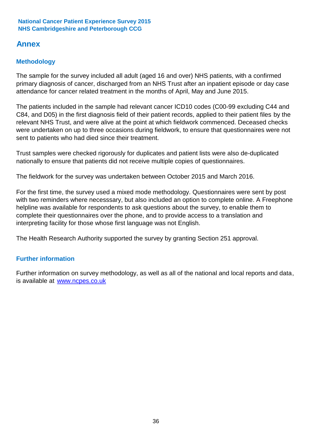## **Annex**

## **Methodology**

The sample for the survey included all adult (aged 16 and over) NHS patients, with a confirmed primary diagnosis of cancer, discharged from an NHS Trust after an inpatient episode or day case attendance for cancer related treatment in the months of April, May and June 2015.

The patients included in the sample had relevant cancer ICD10 codes (C00-99 excluding C44 and C84, and D05) in the first diagnosis field of their patient records, applied to their patient files by the relevant NHS Trust, and were alive at the point at which fieldwork commenced. Deceased checks were undertaken on up to three occasions during fieldwork, to ensure that questionnaires were not sent to patients who had died since their treatment.

Trust samples were checked rigorously for duplicates and patient lists were also de-duplicated nationally to ensure that patients did not receive multiple copies of questionnaires.

The fieldwork for the survey was undertaken between October 2015 and March 2016.

For the first time, the survey used a mixed mode methodology. Questionnaires were sent by post with two reminders where necesssary, but also included an option to complete online. A Freephone helpline was available for respondents to ask questions about the survey, to enable them to complete their questionnaires over the phone, and to provide access to a translation and interpreting facility for those whose first language was not English.

The Health Research Authority supported the survey by granting Section 251 approval.

## **Further information**

Further information on survey methodology, as well as all of the national and local reports and data, is available at www.ncpes.co.uk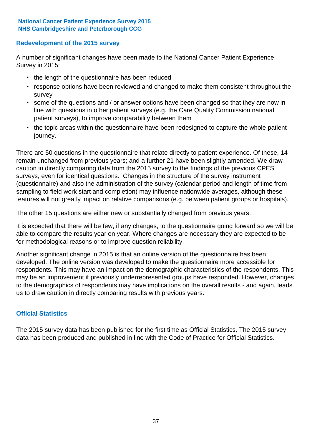## **Redevelopment of the 2015 survey**

A number of significant changes have been made to the National Cancer Patient Experience Survey in 2015:

- the length of the questionnaire has been reduced
- response options have been reviewed and changed to make them consistent throughout the survey
- some of the questions and / or answer options have been changed so that they are now in line with questions in other patient surveys (e.g. the Care Quality Commission national patient surveys), to improve comparability between them
- the topic areas within the questionnaire have been redesigned to capture the whole patient journey.

There are 50 questions in the questionnaire that relate directly to patient experience. Of these, 14 remain unchanged from previous years; and a further 21 have been slightly amended. We draw caution in directly comparing data from the 2015 survey to the findings of the previous CPES surveys, even for identical questions. Changes in the structure of the survey instrument (questionnaire) and also the administration of the survey (calendar period and length of time from sampling to field work start and completion) may influence nationwide averages, although these features will not greatly impact on relative comparisons (e.g. between patient groups or hospitals).

The other 15 questions are either new or substantially changed from previous years.

It is expected that there will be few, if any changes, to the questionnaire going forward so we will be able to compare the results year on year. Where changes are necessary they are expected to be for methodological reasons or to improve question reliability.

Another significant change in 2015 is that an online version of the questionnaire has been developed. The online version was developed to make the questionnaire more accessible for respondents. This may have an impact on the demographic characteristics of the respondents. This may be an improvement if previously underrepresented groups have responded. However, changes to the demographics of respondents may have implications on the overall results - and again, leads us to draw caution in directly comparing results with previous years.

## **Official Statistics**

The 2015 survey data has been published for the first time as Official Statistics. The 2015 survey data has been produced and published in line with the Code of Practice for Official Statistics.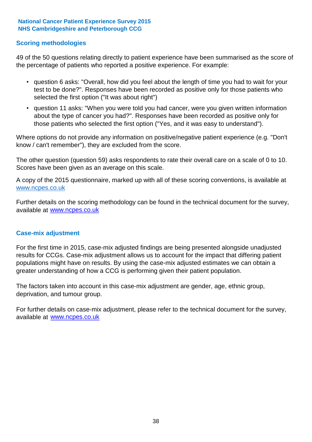### **Scoring methodologies**

49 of the 50 questions relating directly to patient experience have been summarised as the score of the percentage of patients who reported a positive experience. For example:

- question 6 asks: "Overall, how did you feel about the length of time you had to wait for your test to be done?". Responses have been recorded as positive only for those patients who selected the first option ("It was about right")
- question 11 asks: "When you were told you had cancer, were you given written information about the type of cancer you had?". Responses have been recorded as positive only for those patients who selected the first option ("Yes, and it was easy to understand").

Where options do not provide any information on positive/negative patient experience (e.g. "Don't know / can't remember"), they are excluded from the score.

The other question (question 59) asks respondents to rate their overall care on a scale of 0 to 10. Scores have been given as an average on this scale.

A copy of the 2015 questionnaire, marked up with all of these scoring conventions, is available at www.ncpes.co.uk

Further details on the scoring methodology can be found in the technical document for the survey, available at <u>www.ncpes.co.uk</u>

#### **Case-mix adjustment**

For the first time in 2015, case-mix adjusted findings are being presented alongside unadjusted results for CCGs. Case-mix adjustment allows us to account for the impact that differing patient populations might have on results. By using the case-mix adjusted estimates we can obtain a greater understanding of how a CCG is performing given their patient population.

The factors taken into account in this case-mix adjustment are gender, age, ethnic group, deprivation, and tumour group.

For further details on case-mix adjustment, please refer to the technical document for the survey, available at www.ncpes.co.uk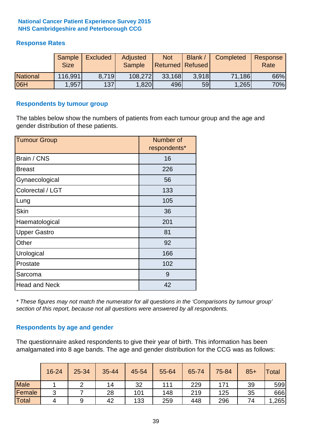## **Response Rates**

|                 | Sample<br><b>Size</b> | <b>Excluded</b> | Adjusted<br><b>Sample</b> | <b>Not</b><br><b>Returned Refused</b> | Blank / | Completed | Response<br>Rate |
|-----------------|-----------------------|-----------------|---------------------------|---------------------------------------|---------|-----------|------------------|
| <b>National</b> | 116,991               | 8.719           | 108,272                   | 33,168                                | 3.918   | 71,186    | 66%              |
| 06H             | ,957                  | 137             | 1,820                     | 496                                   | 59      | 1,265     | 70%              |

#### **Respondents by tumour group**

The tables below show the numbers of patients from each tumour group and the age and gender distribution of these patients.

| <b>Tumour Group</b>  | Number of<br>respondents* |
|----------------------|---------------------------|
| Brain / CNS          | 16                        |
| <b>Breast</b>        | 226                       |
| Gynaecological       | 56                        |
| Colorectal / LGT     | 133                       |
| Lung                 | 105                       |
| <b>Skin</b>          | 36                        |
| Haematological       | 201                       |
| <b>Upper Gastro</b>  | 81                        |
| Other                | 92                        |
| Urological           | 166                       |
| Prostate             | 102                       |
| Sarcoma              | 9                         |
| <b>Head and Neck</b> | 42                        |

*\* These figures may not match the numerator for all questions in the 'Comparisons by tumour group' section of this report, because not all questions were answered by all respondents.*

## **Respondents by age and gender**

The questionnaire asked respondents to give their year of birth. This information has been amalgamated into 8 age bands. The age and gender distribution for the CCG was as follows:

|             | 16-24  | 25-34 | 35-44 | 45-54 | 55-64 | 65-74 | 75-84 | $85+$ | <b>Total</b> |
|-------------|--------|-------|-------|-------|-------|-------|-------|-------|--------------|
| <b>Male</b> |        |       | 14    | 32    | 111   | 229   | 171   | 39    | 599          |
| Female      | 2<br>ັ |       | 28    | 101   | 148   | 219   | 125   | 35    | 666          |
| Total       | 4      |       | 42    | 133   | 259   | 448   | 296   | 74    | ,265         |